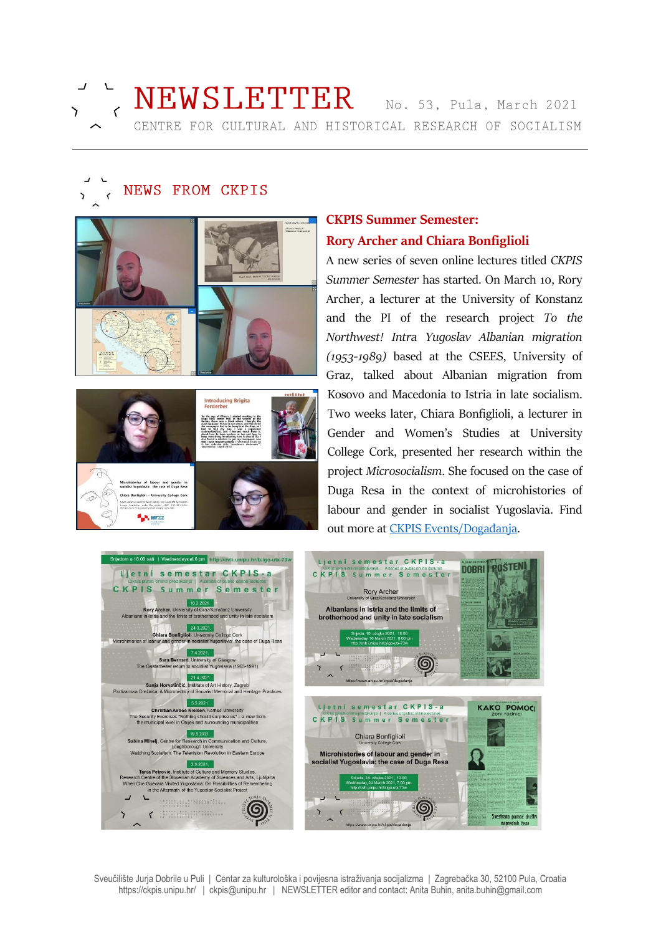

# NEWSLETTER No. 53, Pula, March 2021 CENTRE FOR CULTURAL AND HISTORICAL RESEARCH OF SOCIALISM

# NEWS FROM CKPIS



## **CKPIS Summer Semester: Rory Archer and Chiara Bonfiglioli**

A new series of seven online lectures titled *CKPIS Summer Semester* has started. On March 10, Rory Archer, a lecturer at the University of Konstanz and the PI of the research project *To the Northwest! Intra Yugoslav Albanian migration (1953-1989)* based at the CSEES, University of Graz, talked about Albanian migration from Kosovo and Macedonia to Istria in late socialism. Two weeks later, Chiara Bonfiglioli, a lecturer in Gender and Women's Studies at University College Cork, presented her research within the project *Microsocialism*. She focused on the case of Duga Resa in the context of microhistories of labour and gender in socialist Yugoslavia. Find out more at [CKPIS Events/Događanja](https://www.unipu.hr/ckpis/dogadanja).

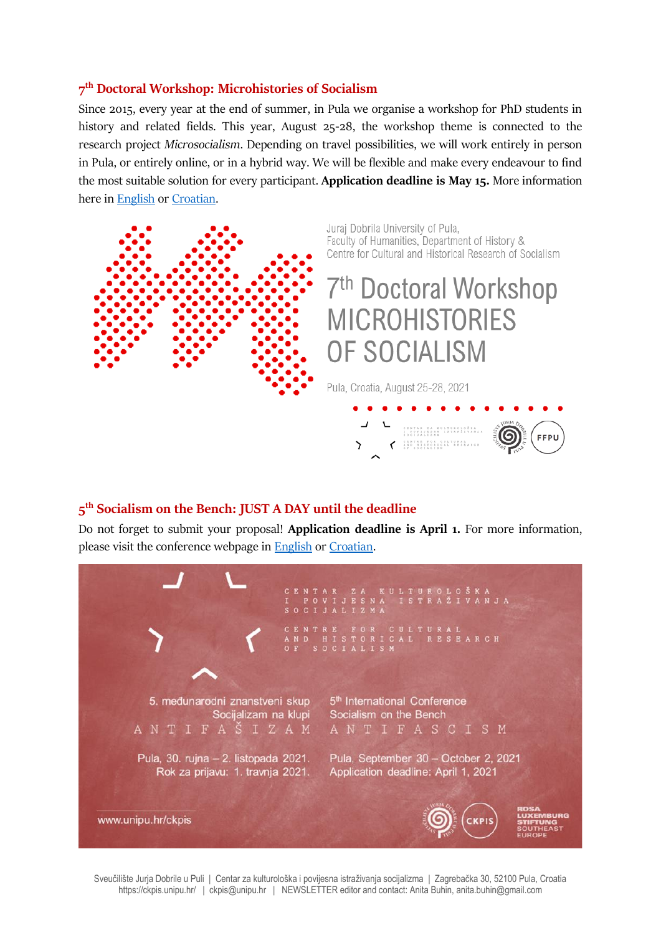#### **7 th Doctoral Workshop: Microhistories of Socialism**

Since 2015, every year at the end of summer, in Pula we organise a workshop for PhD students in history and related fields. This year, August 25-28, the workshop theme is connected to the research project *Microsocialism*. Depending on travel possibilities, we will work entirely in person in Pula, or entirely online, or in a hybrid way. We will be flexible and make every endeavour to find the most suitable solution for every participant. **Application deadline is May 15.** More information here in [English](https://www.unipu.hr/ckpis/en/doctoral_workshop/2021) or [Croatian.](https://www.unipu.hr/ckpis/doktorska_radionica/2021)



#### **5 th Socialism on the Bench: JUST A DAY until the deadline**

Do not forget to submit your proposal! **Application deadline is April 1.** For more information, please visit the conference webpage in [English](https://www.unipu.hr/ckpis/en/socialism_on_the_bench/2021) o[r Croatian.](https://www.unipu.hr/ckpis/socijalizam_na_klupi/2021)



Sveučilište Jurja Dobrile u Puli | Centar za kulturološka i povijesna istraživanja socijalizma | Zagrebačka 30, 52100 Pula, Croatia https://ckpis.unipu.hr/ | ckpis@unipu.hr | NEWSLETTER editor and contact: Anita Buhin, anita.buhin@gmail.com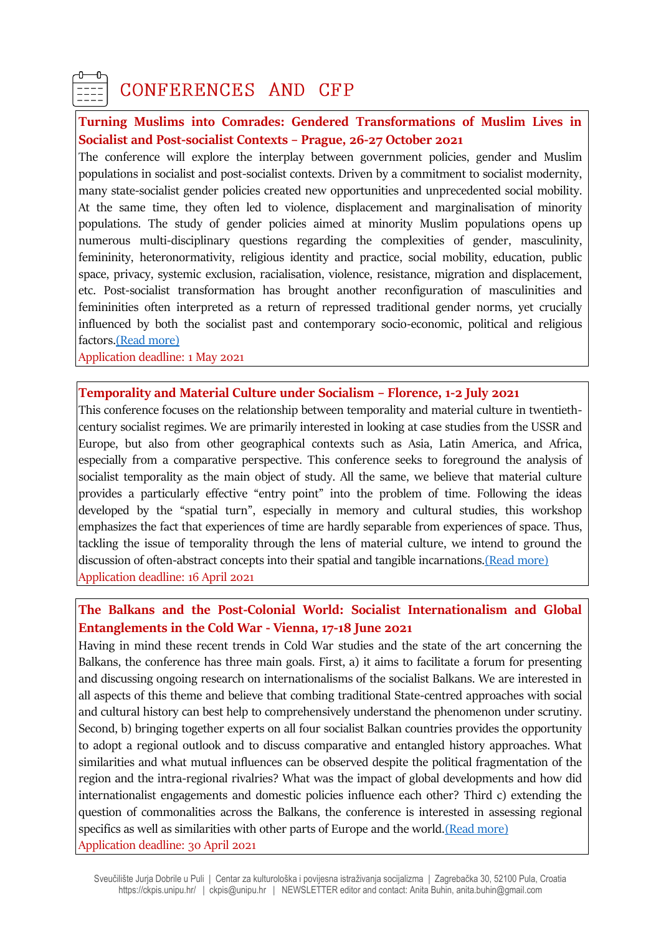

## CONFERENCES AND CFP

#### **Turning Muslims into Comrades: Gendered Transformations of Muslim Lives in Socialist and Post-socialist Contexts – Prague, 26-27 October 2021**

The conference will explore the interplay between government policies, gender and Muslim populations in socialist and post-socialist contexts. Driven by a commitment to socialist modernity, many state-socialist gender policies created new opportunities and unprecedented social mobility. At the same time, they often led to violence, displacement and marginalisation of minority populations. The study of gender policies aimed at minority Muslim populations opens up numerous multi-disciplinary questions regarding the complexities of gender, masculinity, femininity, heteronormativity, religious identity and practice, social mobility, education, public space, privacy, systemic exclusion, racialisation, violence, resistance, migration and displacement, etc. Post-socialist transformation has brought another reconfiguration of masculinities and femininities often interpreted as a return of repressed traditional gender norms, yet crucially influenced by both the socialist past and contemporary socio-economic, political and religious factors[.\(Read more\)](https://www.ff.cuni.cz/event/turning-muslims-comrades-gendered-transformations-muslim-lives-socialist-post-socialist-contexts/)

Application deadline: 1 May 2021

#### **Temporality and Material Culture under Socialism – Florence, 1-2 July 2021**

This conference focuses on the relationship between temporality and material culture in twentiethcentury socialist regimes. We are primarily interested in looking at case studies from the USSR and Europe, but also from other geographical contexts such as Asia, Latin America, and Africa, especially from a comparative perspective. This conference seeks to foreground the analysis of socialist temporality as the main object of study. All the same, we believe that material culture provides a particularly effective "entry point" into the problem of time. Following the ideas developed by the "spatial turn", especially in memory and cultural studies, this workshop emphasizes the fact that experiences of time are hardly separable from experiences of space. Thus, tackling the issue of temporality through the lens of material culture, we intend to ground the discussion of often-abstract concepts into their spatial and tangible incarnations. (Read more) Application deadline: 16 April 2021

#### **The Balkans and the Post-Colonial World: Socialist Internationalism and Global Entanglements in the Cold War - Vienna, 17-18 June 2021**

Having in mind these recent trends in Cold War studies and the state of the art concerning the Balkans, the conference has three main goals. First, a) it aims to facilitate a forum for presenting and discussing ongoing research on internationalisms of the socialist Balkans. We are interested in all aspects of this theme and believe that combing traditional State-centred approaches with social and cultural history can best help to comprehensively understand the phenomenon under scrutiny. Second, b) bringing together experts on all four socialist Balkan countries provides the opportunity to adopt a regional outlook and to discuss comparative and entangled history approaches. What similarities and what mutual influences can be observed despite the political fragmentation of the region and the intra-regional rivalries? What was the impact of global developments and how did internationalist engagements and domestic policies influence each other? Third c) extending the question of commonalities across the Balkans, the conference is interested in assessing regional specifics as well as similarities with other parts of Europe and the worl[d.\(Read more\)](https://intbalk.univie.ac.at/?fbclid=IwAR3vpyAN6vEEOhr2hf1ujV3txwyhd_quFZmnW1gPWUpFkCpGhtGDXuRY8g8) Application deadline: 30 April 2021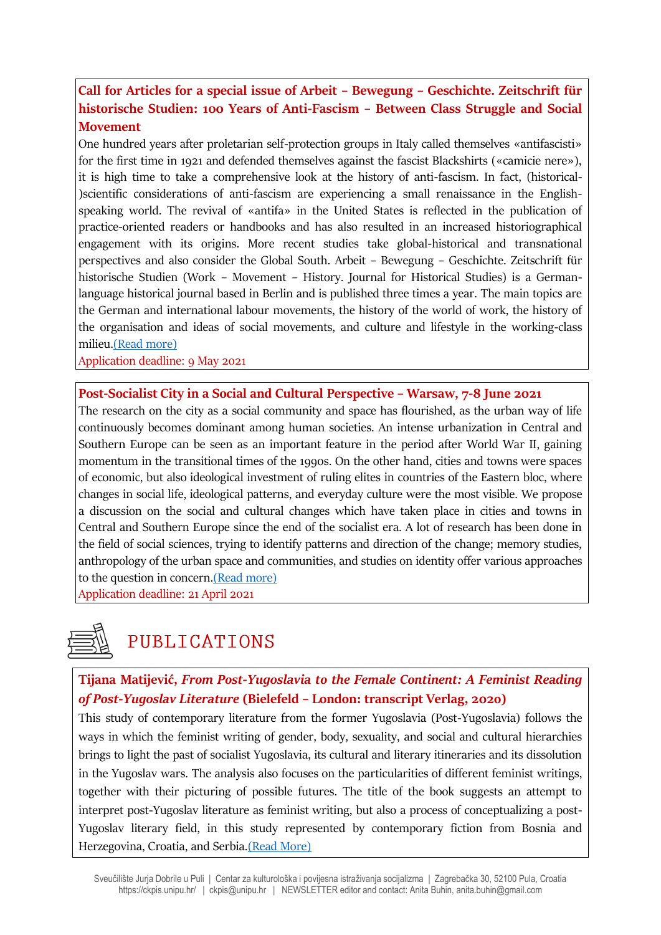## **Call for Articles for a special issue of Arbeit – Bewegung – Geschichte. Zeitschrift für historische Studien: 100 Years of Anti-Fascism – Between Class Struggle and Social Movement**

One hundred years after proletarian self-protection groups in Italy called themselves «antifascisti» for the first time in 1921 and defended themselves against the fascist Blackshirts («camicie nere»), it is high time to take a comprehensive look at the history of anti-fascism. In fact, (historical- )scientific considerations of anti-fascism are experiencing a small renaissance in the Englishspeaking world. The revival of «antifa» in the United States is reflected in the publication of practice-oriented readers or handbooks and has also resulted in an increased historiographical engagement with its origins. More recent studies take global-historical and transnational perspectives and also consider the Global South. Arbeit – Bewegung – Geschichte. Zeitschrift für historische Studien (Work – Movement – History. Journal for Historical Studies) is a Germanlanguage historical journal based in Berlin and is published three times a year. The main topics are the German and international labour movements, the history of the world of work, the history of the organisation and ideas of social movements, and culture and lifestyle in the working-class milieu[.\(Read more\)](https://www.arbeit-bewegung-geschichte.de/100-jahre-antifaschismus-zwischen-klassenkampf-und-sozialer-bewegung/)

Application deadline: 9 May 2021

#### **Post-Socialist City in a Social and Cultural Perspective – Warsaw, 7-8 June 2021**

The research on the city as a social community and space has flourished, as the urban way of life continuously becomes dominant among human societies. An intense urbanization in Central and Southern Europe can be seen as an important feature in the period after World War II, gaining momentum in the transitional times of the 1990s. On the other hand, cities and towns were spaces of economic, but also ideological investment of ruling elites in countries of the Eastern bloc, where changes in social life, ideological patterns, and everyday culture were the most visible. We propose a discussion on the social and cultural changes which have taken place in cities and towns in Central and Southern Europe since the end of the socialist era. A lot of research has been done in the field of social sciences, trying to identify patterns and direction of the change; memory studies, anthropology of the urban space and communities, and studies on identity offer various approaches to the question in concern[.\(Read more\)](http://prop.uw.edu.pl/events/workshop-post-socialist-city-in-a-social-and-cultural-persepective/)

Application deadline: 21 April 2021

# PUBLICATIONS

## **Tijana Matijević,** *From Post-Yugoslavia to the Female Continent: A Feminist Reading of Post-Yugoslav Literature* **(Bielefeld – London: transcript Verlag, 202o)**

This study of contemporary literature from the former Yugoslavia (Post-Yugoslavia) follows the ways in which the feminist writing of gender, body, sexuality, and social and cultural hierarchies brings to light the past of socialist Yugoslavia, its cultural and literary itineraries and its dissolution in the Yugoslav wars. The analysis also focuses on the particularities of different feminist writings, together with their picturing of possible futures. The title of the book suggests an attempt to interpret post-Yugoslav literature as feminist writing, but also a process of conceptualizing a post-Yugoslav literary field, in this study represented by contemporary fiction from Bosnia and Herzegovina, Croatia, and Serbia[.\(Read More\)](https://www.transcript-verlag.de/978-3-8376-5209-3/from-post-yugoslavia-to-the-female-continent/)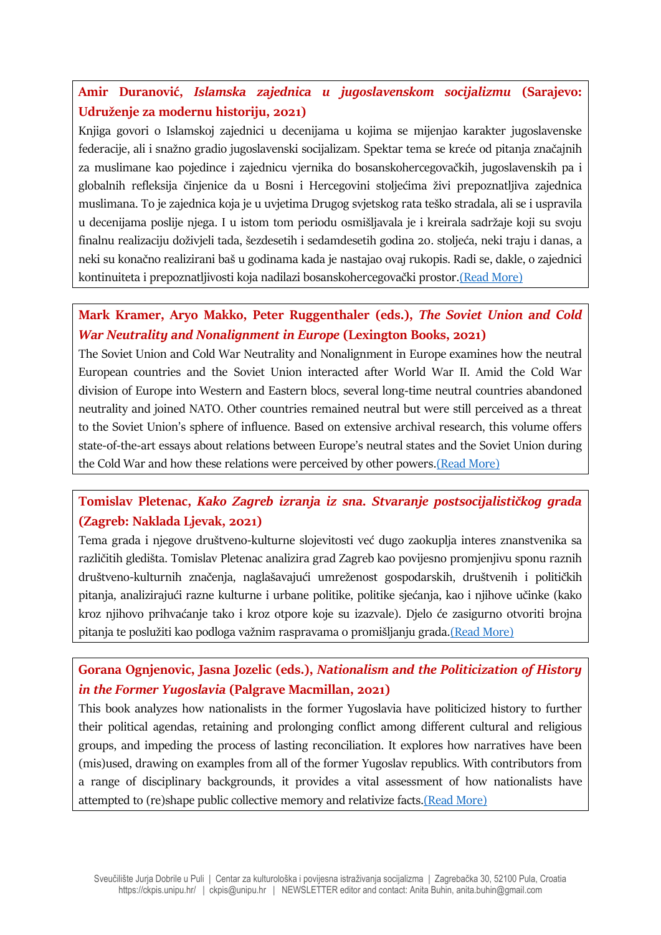## **Amir Duranović,** *Islamska zajednica u jugoslavenskom socijalizmu* **(Sarajevo: Udruženje za modernu historiju, 2021)**

Knjiga govori o Islamskoj zajednici u decenijama u kojima se mijenjao karakter jugoslavenske federacije, ali i snažno gradio jugoslavenski socijalizam. Spektar tema se kreće od pitanja značajnih za muslimane kao pojedince i zajednicu vjernika do bosanskohercegovačkih, jugoslavenskih pa i globalnih refleksija činjenice da u Bosni i Hercegovini stoljećima živi prepoznatljiva zajednica muslimana. To je zajednica koja je u uvjetima Drugog svjetskog rata teško stradala, ali se i uspravila u decenijama poslije njega. I u istom tom periodu osmišljavala je i kreirala sadržaje koji su svoju finalnu realizaciju doživjeli tada, šezdesetih i sedamdesetih godina 20. stoljeća, neki traju i danas, a neki su konačno realizirani baš u godinama kada je nastajao ovaj rukopis. Radi se, dakle, o zajednici kontinuiteta i prepoznatljivosti koja nadilazi bosanskohercegovački prostor.[\(Read More\)](http://umhis.ba/islamska-zajednica-u-jugoslavenskom-socijalizmu/?fbclid=IwAR33saW4w2VxEVNYBJbPODjIafhtdH9YRnsVwrwZUrsOxX9T20NePLAdSnw)

## **Mark Kramer, Aryo Makko, Peter Ruggenthaler (eds.),** *The Soviet Union and Cold War Neutrality and Nonalignment in Europe* **(Lexington Books, 2021)**

The Soviet Union and Cold War Neutrality and Nonalignment in Europe examines how the neutral European countries and the Soviet Union interacted after World War II. Amid the Cold War division of Europe into Western and Eastern blocs, several long-time neutral countries abandoned neutrality and joined NATO. Other countries remained neutral but were still perceived as a threat to the Soviet Union's sphere of influence. Based on extensive archival research, this volume offers state-of-the-art essays about relations between Europe's neutral states and the Soviet Union during the Cold War and how these relations were perceived by other powers[.\(Read More\)](https://rowman.com/ISBN/9781793631930/The-Soviet-Union-and-Cold-War-Neutrality-and-Nonalignment-in-Europe)

## **Tomislav Pletenac,** *Kako Zagreb izranja iz sna. Stvaranje postsocijalističkog grada* **(Zagreb: Naklada Ljevak, 2021)**

Tema grada i njegove društveno-kulturne slojevitosti već dugo zaokuplja interes znanstvenika sa različitih gledišta. Tomislav Pletenac analizira grad Zagreb kao povijesno promjenjivu sponu raznih društveno-kulturnih značenja, naglašavajući umreženost gospodarskih, društvenih i političkih pitanja, analizirajući razne kulturne i urbane politike, politike sjećanja, kao i njihove učinke (kako kroz njihovo prihvaćanje tako i kroz otpore koje su izazvale). Djelo će zasigurno otvoriti brojna pitanja te poslužiti kao podloga važnim raspravama o promišljanju grada.[\(Read More\)](https://www.ljevak.hr/publicistika/26203-kako-zagreb-izranja-iz-sna.html)

## **Gorana Ognjenovic, Jasna Jozelic (eds.),** *Nationalism and the Politicization of History in the Former Yugoslavia* **(Palgrave Macmillan, 2021)**

This book analyzes how nationalists in the former Yugoslavia have politicized history to further their political agendas, retaining and prolonging conflict among different cultural and religious groups, and impeding the process of lasting reconciliation. It explores how narratives have been (mis)used, drawing on examples from all of the former Yugoslav republics. With contributors from a range of disciplinary backgrounds, it provides a vital assessment of how nationalists have attempted to (re)shape public collective memory and relativize facts[.\(Read More\)](https://www.palgrave.com/gp/book/9783030658311)